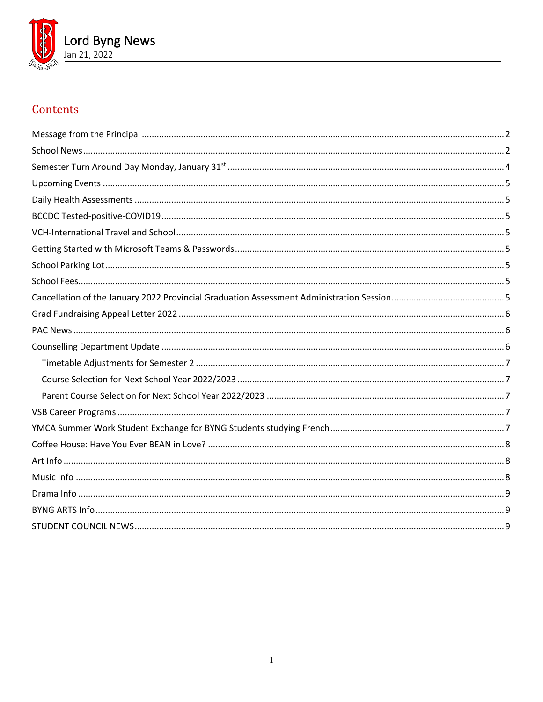

# Contents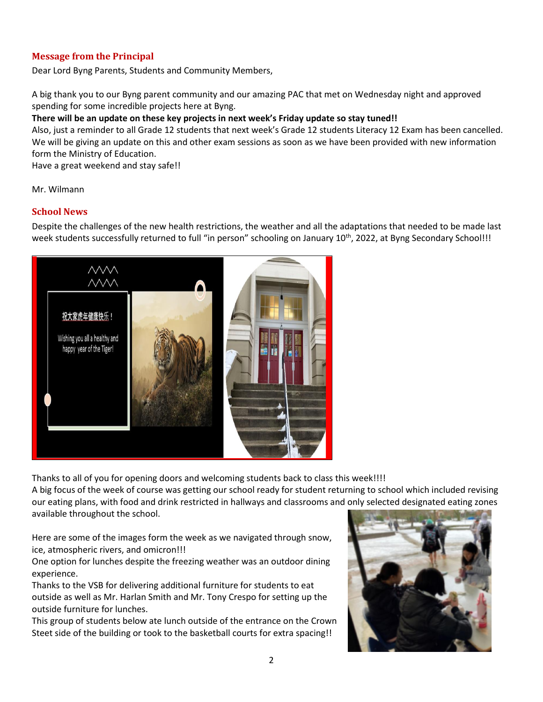# <span id="page-1-0"></span>**Message from the Principal**

Dear Lord Byng Parents, Students and Community Members,

A big thank you to our Byng parent community and our amazing PAC that met on Wednesday night and approved spending for some incredible projects here at Byng.

## **There will be an update on these key projects in next week's Friday update so stay tuned!!**

Also, just a reminder to all Grade 12 students that next week's Grade 12 students Literacy 12 Exam has been cancelled. We will be giving an update on this and other exam sessions as soon as we have been provided with new information form the Ministry of Education.

Have a great weekend and stay safe!!

<span id="page-1-1"></span>Mr. Wilmann

## **School News**

Despite the challenges of the new health restrictions, the weather and all the adaptations that needed to be made last week students successfully returned to full "in person" schooling on January 10<sup>th</sup>, 2022, at Byng Secondary School!!!



Thanks to all of you for opening doors and welcoming students back to class this week!!!!

A big focus of the week of course was getting our school ready for student returning to school which included revising our eating plans, with food and drink restricted in hallways and classrooms and only selected designated eating zones available throughout the school.

Here are some of the images form the week as we navigated through snow, ice, atmospheric rivers, and omicron!!!

One option for lunches despite the freezing weather was an outdoor dining experience.

Thanks to the VSB for delivering additional furniture for students to eat outside as well as Mr. Harlan Smith and Mr. Tony Crespo for setting up the outside furniture for lunches.

This group of students below ate lunch outside of the entrance on the Crown Steet side of the building or took to the basketball courts for extra spacing!!

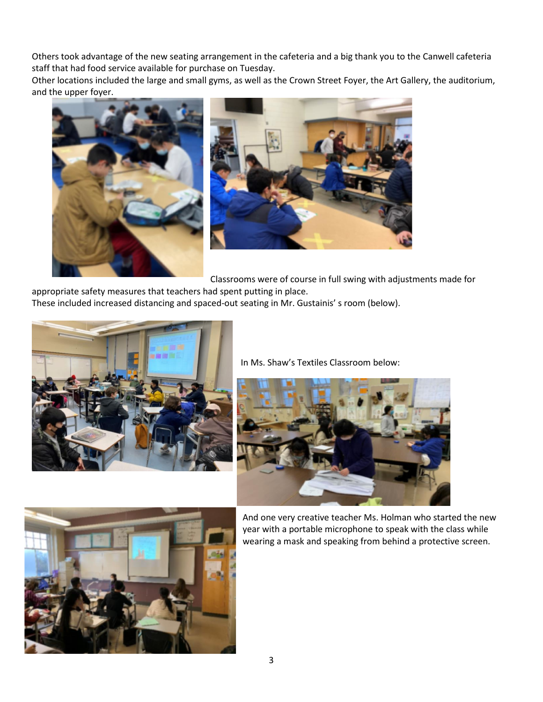Others took advantage of the new seating arrangement in the cafeteria and a big thank you to the Canwell cafeteria staff that had food service available for purchase on Tuesday.

Other locations included the large and small gyms, as well as the Crown Street Foyer, the Art Gallery, the auditorium, and the upper foyer.





Classrooms were of course in full swing with adjustments made for

appropriate safety measures that teachers had spent putting in place. These included increased distancing and spaced-out seating in Mr. Gustainis' s room (below).



In Ms. Shaw's Textiles Classroom below:





And one very creative teacher Ms. Holman who started the new year with a portable microphone to speak with the class while wearing a mask and speaking from behind a protective screen.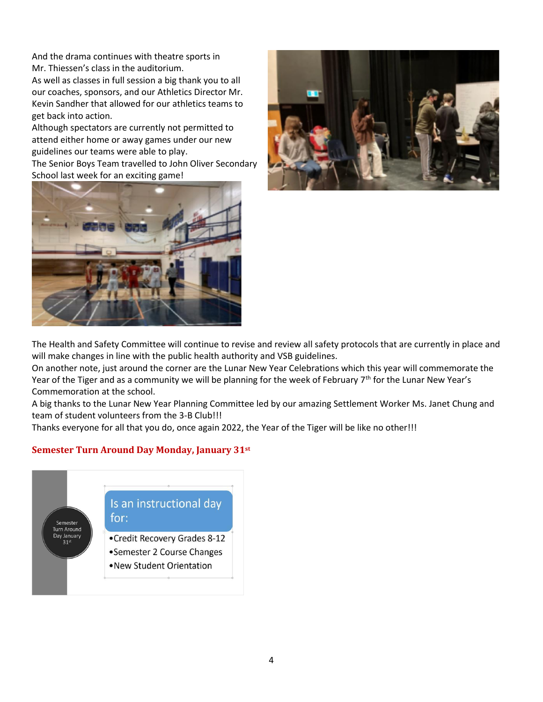And the drama continues with theatre sports in Mr. Thiessen's class in the auditorium.

As well as classes in full session a big thank you to all our coaches, sponsors, and our Athletics Director Mr. Kevin Sandher that allowed for our athletics teams to get back into action.

Although spectators are currently not permitted to attend either home or away games under our new guidelines our teams were able to play.

The Senior Boys Team travelled to John Oliver Secondary School last week for an exciting game!





The Health and Safety Committee will continue to revise and review all safety protocols that are currently in place and will make changes in line with the public health authority and VSB guidelines.

On another note, just around the corner are the Lunar New Year Celebrations which this year will commemorate the Year of the Tiger and as a community we will be planning for the week of February  $7<sup>th</sup>$  for the Lunar New Year's Commemoration at the school.

A big thanks to the Lunar New Year Planning Committee led by our amazing Settlement Worker Ms. Janet Chung and team of student volunteers from the 3-B Club!!!

<span id="page-3-0"></span>Thanks everyone for all that you do, once again 2022, the Year of the Tiger will be like no other!!!

# **Semester Turn Around Day Monday, January 31st**

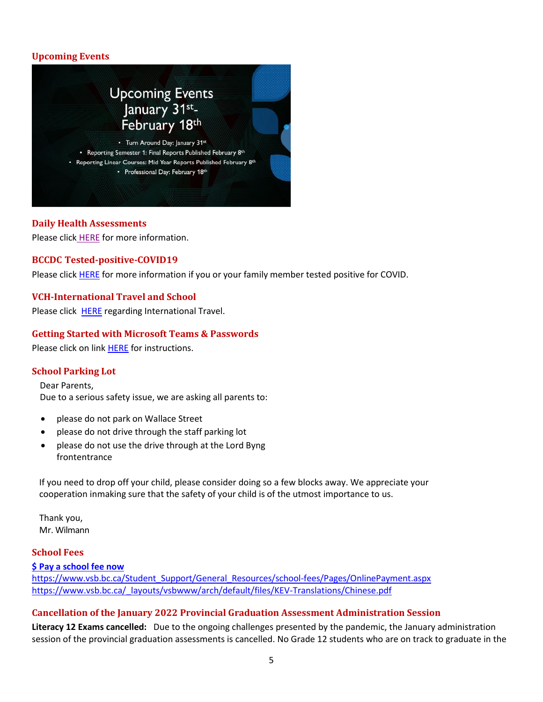# <span id="page-4-0"></span>**Upcoming Events**



## <span id="page-4-1"></span>**Daily Health Assessments**

<span id="page-4-2"></span>Please click [HERE](https://www.vsb.bc.ca/schools/lord-byng/About-Us/news/_layouts/15/ci/post.aspx?oaid=83358e43-c83d-4c0a-9e7a-27234982de44&oact=20001) for more information.

## **BCCDC Tested-positive-COVID19**

<span id="page-4-3"></span>Please click [HERE](https://www.vsb.bc.ca/schools/lord-byng/About-Us/Publications/Documents/sbfile/220114/BCCDC%20Tested-positive-COVID19.pdf) for more information if you or your family member tested positive for COVID.

# **VCH-International Travel and School**

<span id="page-4-4"></span>Please click **HERE** regarding International Travel.

## **Getting Started with Microsoft Teams & Passwords**

Please click on link [HERE](https://www.vsb.bc.ca/schools/lord-byng/About-Us/Publications/Documents/Getting%20Started%20with%20Microsoft%20Teams%20Jan%207%202022.pdf) for instructions.

# <span id="page-4-5"></span>**School Parking Lot**

Dear Parents, Due to a serious safety issue, we are asking all parents to:

- please do not park on Wallace Street
- please do not drive through the staff parking lot
- please do not use the drive through at the Lord Byng frontentrance

[If you need to drop off y](https://vsb.schoolcashonline.com/)our child, please consider doing so a few blocks away. We appreciate your cooperation inmaking sure that the safety of your child is of the utmost [importance](https://www.vsb.bc.ca/Student_Support/General_Resources/school-fees/Pages/OnlinePayment.aspx) to us.

[Thank you,](https://www.vsb.bc.ca/_layouts/vsbwww/arch/default/files/KEV-Translations/Chinese.pdf) Mr. Wilmann

#### <span id="page-4-6"></span>**School Fees**

**\$ [Pay a school fee now](https://vsb.schoolcashonline.com/)** https:/[/www.vsb.bc.ca/Student\\_Support/General\\_Resources/school-fees/Pages/OnlinePayment.aspx](http://www.vsb.bc.ca/Student_Support/General_Resources/school-fees/Pages/OnlinePayment.aspx) https:/[/www.vsb.bc.ca/\\_layouts/vsbwww/arch/default/files/KEV-Translations/Chinese.pdf](http://www.vsb.bc.ca/_layouts/vsbwww/arch/default/files/KEV-Translations/Chinese.pdf)

## <span id="page-4-7"></span>**Cancellation of the January 2022 Provincial Graduation Assessment Administration Session**

**Literacy 12 Exams cancelled:** Due to the ongoing challenges presented by the pandemic, the January administration session of the provincial graduation assessments is cancelled. No Grade 12 students who are on track to graduate in the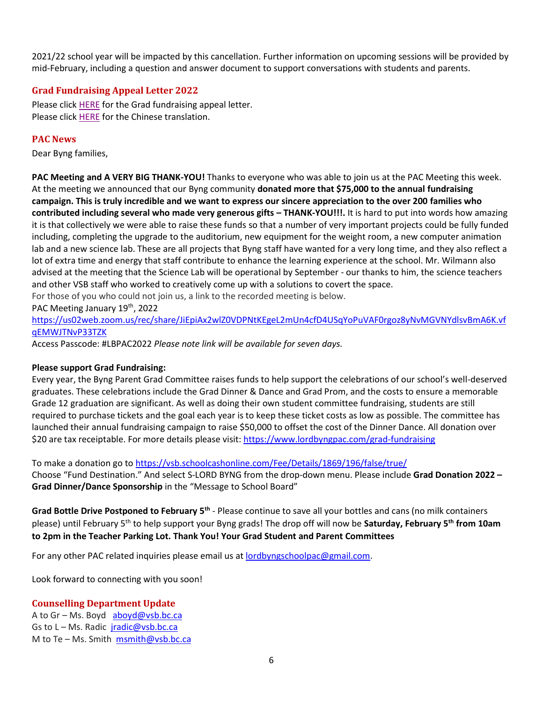2021/22 school year will be impacted by this cancellation. Further information on upcoming sessions will be provided by mid-February, including a question and answer document to support conversations with students and parents.

# <span id="page-5-0"></span>**Grad Fundraising Appeal Letter 2022**

Please click [HERE](https://www.vsb.bc.ca/schools/lord-byng/Families/Grad%20Parent%20Page/Documents/sbfile/220120/Grad%20Fundraising%20Appeal.pdf) for the Grad fundraising appeal letter. Please click [HERE](https://www.vsb.bc.ca/schools/lord-byng/Families/Grad%20Parent%20Page/Documents/sbfile/220121/Chinese%20Grad%20Fundraising%20Appeal%202022_2.pdf) for the Chinese translation.

# <span id="page-5-1"></span>**PAC News**

Dear Byng families,

**PAC Meeting and A VERY BIG THANK-YOU!** Thanks to everyone who was able to join us at the PAC Meeting this week. At the meeting we announced that our Byng community **donated more that \$75,000 to the annual fundraising campaign. This is truly incredible and we want to express our sincere appreciation to the over 200 families who contributed including several who made very generous gifts – THANK-YOU!!!.** It is hard to put into words how amazing it is that collectively we were able to raise these funds so that a number of very important projects could be fully funded including, completing the upgrade to the auditorium, new equipment for the weight room, a new computer animation lab and a new science lab. These are all projects that Byng staff have wanted for a very long time, and they also reflect a lot of extra time and energy that staff contribute to enhance the learning experience at the school. Mr. Wilmann also advised at the meeting that the Science Lab will be operational by September - our thanks to him, the science teachers and other VSB staff who worked to creatively come up with a solutions to covert the space.

For those of you who could not join us, a link to the recorded meeting is below.

PAC Meeting January 19th, 2022

[https://us02web.zoom.us/rec/share/JiEpiAx2wlZ0VDPNtKEgeL2mUn4cfD4USqYoPuVAF0rgoz8yNvMGVNYdlsvBmA6K.vf](https://us02web.zoom.us/rec/share/JiEpiAx2wlZ0VDPNtKEgeL2mUn4cfD4USqYoPuVAF0rgoz8yNvMGVNYdlsvBmA6K.vfqEMWJTNvP33TZK) [qEMWJTNvP33TZK](https://us02web.zoom.us/rec/share/JiEpiAx2wlZ0VDPNtKEgeL2mUn4cfD4USqYoPuVAF0rgoz8yNvMGVNYdlsvBmA6K.vfqEMWJTNvP33TZK)

Access Passcode: #LBPAC2022 *Please note link will be available for seven days.*

# **Please support Grad Fundraising:**

Every year, the Byng Parent Grad Committee raises funds to help support the celebrations of our school's well-deserved graduates. These celebrations include the Grad Dinner & Dance and Grad Prom, and the costs to ensure a memorable Grade 12 graduation are significant. As well as doing their own student committee fundraising, students are still required to purchase tickets and the goal each year is to keep these ticket costs as low as possible. The committee has launched their annual fundraising campaign to raise \$50,000 to offset the cost of the Dinner Dance. All donation over \$20 are tax receiptable. For more details please visit[: https://www.lordbyngpac.com/grad-fundraising](https://www.lordbyngpac.com/grad-fundraising)

To make a donation go to <https://vsb.schoolcashonline.com/Fee/Details/1869/196/false/true/> Choose "Fund Destination." And select S-LORD BYNG from the drop-down menu. Please include **Grad Donation 2022 – Grad Dinner/Dance Sponsorship** in the "Message to School Board"

Grad Bottle Drive Postponed to February 5<sup>th</sup> - Please continue to save all your bottles and cans (no milk containers please) until February 5th to help support your Byng grads! The drop off will now be **Saturday, February 5th from 10am to 2pm in the Teacher Parking Lot. Thank You! Your Grad Student and Parent Committees**

For any other PAC related inquiries please email us at **lordbyngschoolpac@gmail.com**.

Look forward to connecting with you soon!

# <span id="page-5-2"></span>**Counselling Department Update**

A to Gr – Ms. Boyd [aboyd@vsb.bc.ca](mailto:aboyd@vsb.bc.ca) Gs to  $L - Ms$ . Radic  $\frac{r \cdot \cos \theta}{r}$  radic@vsb.bc.ca M to Te – Ms. Smith [msmith@vsb.bc.ca](mailto:msmith@vsb.bc.ca)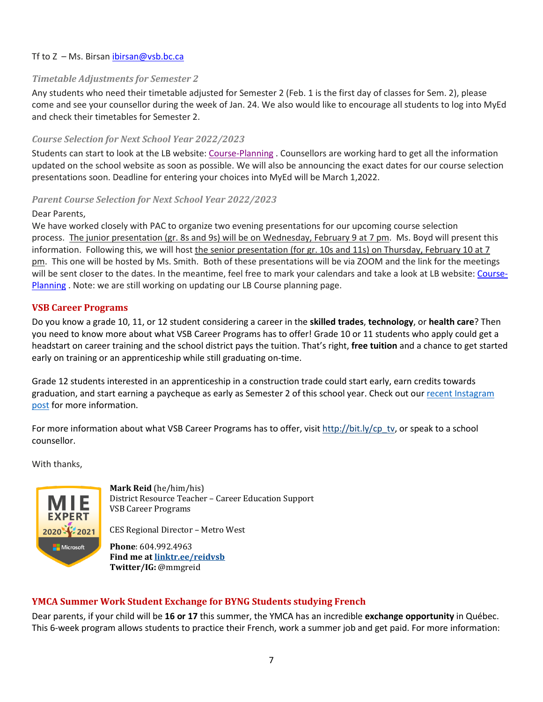## <span id="page-6-0"></span>Tf to  $Z$  – Ms. Birsan ibirsan@vsb.bc.ca

## *Timetable Adjustments for Semester 2*

Any students who need their timetable adjusted for Semester 2 (Feb. 1 is the first day of classes for Sem. 2), please come and see your counsellor during the week of Jan. 24. We also would like to encourage all students to log into MyEd and check their timetables for Semester 2.

## <span id="page-6-1"></span>*Course Selection for Next School Year 2022/2023*

Students can start to look at the LB website: [Course-Planning](https://www.vsb.bc.ca/schools/lord-byng/Guidance-and-Support/Course-Planning/Pages/default.aspx) . Counsellors are working hard to get all the information updated on the school website as soon as possible. We will also be announcing the exact dates for our course selection presentations soon. Deadline for entering your choices into MyEd will be March 1,2022.

## <span id="page-6-2"></span>*Parent Course Selection for Next School Year 2022/2023*

#### Dear Parents,

We have worked closely with PAC to organize two evening presentations for our upcoming course selection process. The junior presentation (gr. 8s and 9s) will be on Wednesday, February 9 at 7 pm. Ms. Boyd will present this information. Following this, we will host the senior presentation (for gr. 10s and 11s) on Thursday, February 10 at 7 pm. This one will be hosted by Ms. Smith. Both of these presentations will be via ZOOM and the link for the meetings will be sent closer to the dates. In the meantime, feel free to mark your calendars and take a look at LB website: [Course-](https://www.vsb.bc.ca/schools/lord-byng/Guidance-and-Support/Course-Planning/Pages/default.aspx)[Planning](https://www.vsb.bc.ca/schools/lord-byng/Guidance-and-Support/Course-Planning/Pages/default.aspx) . Note: we are still working on updating our LB Course planning page.

## <span id="page-6-3"></span>**VSB Career Programs**

Do you know a grade 10, 11, or 12 student considering a career in the **skilled trades**, **technology**, or **health care**? Then you need to know more about what VSB Career Programs has to offer! Grade 10 or 11 students who apply could get a headstart on career training and the school district pays the tuition. That's right, **free tuition** and a chance to get started early on training or an apprenticeship while still graduating on-time.

Grade 12 students interested in an apprenticeship in a construction trade could start early, earn credits towards graduation, and start earning a paycheque as early as Semester 2 of this school year. Check out our recent [Instagram](https://www.instagram.com/p/CYsh_giLhsQ/?utm_medium=copy_link) [post](https://www.instagram.com/p/CYsh_giLhsQ/?utm_medium=copy_link) for more information.

For more information about what VSB Career Programs has to offer, visit [http://bit.ly/cp\\_tv,](http://bit.ly/cp_tv) or speak to a school counsellor.

With thanks,



**Mark Reid** (he/him/his) District Resource Teacher – Career Education Support VSB Career Programs

CES Regional Director – Metro West

**Phone**: 604.992.4963 **Find me at [linktr.ee/reidvsb](https://can01.safelinks.protection.outlook.com/?url=https%3A%2F%2Flinktr.ee%2Freidvsb&data=04%7C01%7Cdoriss%40wesgar.com%7Cf50fdfd9763d4695482308d9bf8189a4%7Cf79dbe32b7214037b1575addcd866e7c%7C1%7C0%7C637751385694290670%7CUnknown%7CTWFpbGZsb3d8eyJWIjoiMC4wLjAwMDAiLCJQIjoiV2luMzIiLCJBTiI6Ik1haWwiLCJXVCI6Mn0%3D%7C3000&sdata=DCV3rRRHUjiN0DLu1qLluu4M0%2Fp6JAvKRiMKfya26JY%3D&reserved=0) Twitter/IG:** @mmgreid

## <span id="page-6-4"></span>**YMCA Summer Work Student Exchange for BYNG Students studying French**

Dear parents, if your child will be **16 or 17** this summer, the YMCA has an incredible **exchange opportunity** in Québec. This 6-week program allows students to practice their French, work a summer job and get paid. For more information: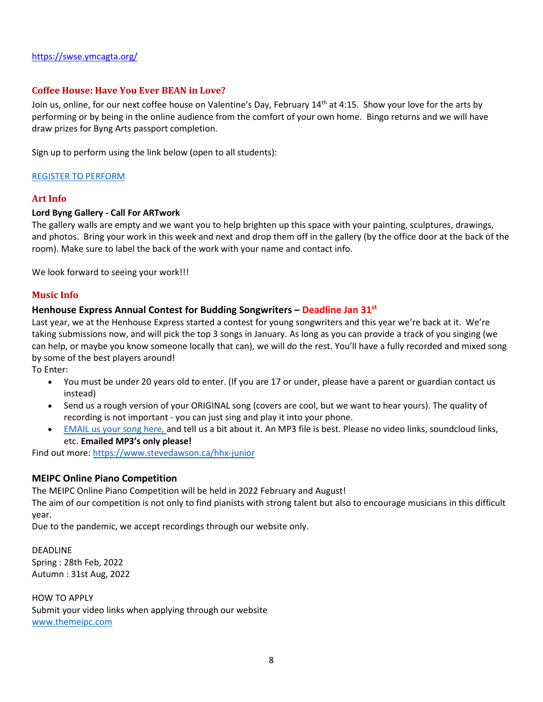## <span id="page-7-0"></span>**Coffee House: Have You Ever BEAN in Love?**

Join us, online, for our next coffee house on Valentine's Day, February 14<sup>th</sup> at 4:15. Show your love for the arts by performing or by being in the online audience from the comfort of your own home. Bingo returns and we will have draw prizes for Byng Arts passport completion.

Sign up to perform using the link below (open to all students):

#### <span id="page-7-1"></span>[REGISTER TO PERFORM](https://docs.google.com/forms/d/e/1FAIpQLSdLGsHL_2f-E7o0pHi2TUg0XmucjMEmX3II2gN4Esia8rOkkA/viewform)

#### **Art Info**

#### **Lord Byng Gallery - Call For ARTwork**

The gallery walls are empty and we want you to help brighten up this space with your painting, sculptures, drawings, and photos. Bring your work in this week and next and drop them off in the gallery (by the office door at the back of the room). Make sure to label the back of the work with your name and contact info.

<span id="page-7-2"></span>We look forward to seeing your work!!!

## **Music Info**

#### **Henhouse Express Annual Contest for Budding Songwriters – Deadline Jan 31st**

Last year, we at the Henhouse Express started a contest for young songwriters and this year we're back at it. We're taking submissions now, and will pick the top 3 songs in January. As long as you can provide a track of you singing (we can help, or maybe you know someone locally that can), we will do the rest. You'll have a fully recorded and mixed song by some of the best players around!

To Enter:

- You must be under 20 years old to enter. (If you are 17 or under, please have a parent or guardian contact us instead)
- Send us a rough version of your ORIGINAL song (covers are cool, but we want to hear yours). The quality of recording is not important - you can just sing and play it into your phone.
- [EMAIL](mailto:steve@thehenhousestudio.com?subject=Henhouse%20Express%20Junior%20Contest) us your song here, and tell us a bit about it. An MP3 file is best. Please no video links, soundcloud links, etc. **Emailed MP3's only please!**

Find out more: <https://www.stevedawson.ca/hhx-junior>

## **MEIPC Online Piano Competition**

The MEIPC Online Piano Competition will be held in 2022 February and August!

The aim of our competition is not only to find pianists with strong talent but also to encourage musicians in this difficult year.

Due to the pandemic, we accept recordings through our website only.

DEADLINE Spring : 28th Feb, 2022 Autumn : 31st Aug, 2022

HOW TO APPLY Submit your video links when applying through our website [www.themeipc.com](http://www.themeipc.com/)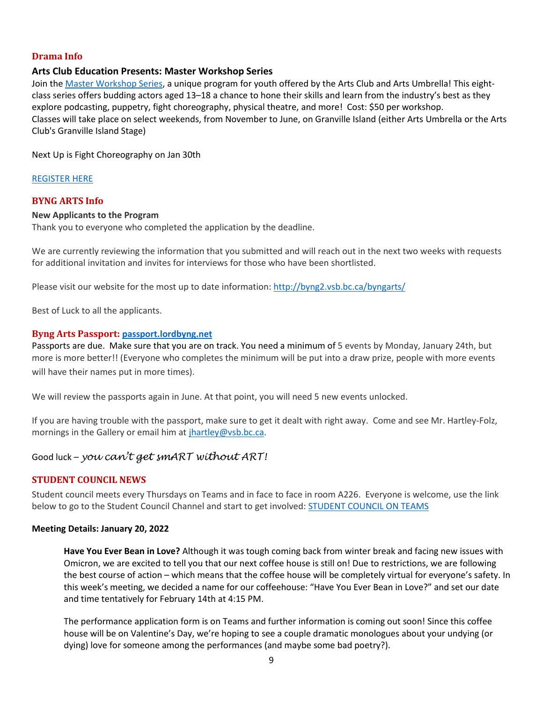# <span id="page-8-0"></span>**Drama Info**

# **Arts Club Education Presents: Master Workshop Series**

Join the Master [Workshop](https://ca.apm.activecommunities.com/artsumbrella/Activity_Search?txtActivitySearch=Master%20Workshop%20Series&applyFiltersDefaultValue=true&cat=Classes) Series, a unique program for youth offered by the Arts Club and Arts Umbrella! This eightclass series offers budding actors aged 13–18 a chance to hone their skills and learn from the industry's best as they explore podcasting, puppetry, fight choreography, physical theatre, and more! Cost: \$50 per workshop. Classes will take place on select weekends, from November to June, on Granville Island (either Arts Umbrella or the Arts Club's Granville Island Stage)

Next Up is Fight Choreography on Jan 30th

#### <span id="page-8-1"></span>[REGISTER](https://ca.apm.activecommunities.com/artsumbrella/Activity_Search?txtActivitySearch=Master%20Workshop%20Series&applyFiltersDefaultValue=true&cat=Classes) HERE

## **BYNG ARTS Info**

#### **New Applicants to the Program**

Thank you to everyone who completed the application by the deadline.

We are currently reviewing the information that you submitted and will reach out in the next two weeks with requests for additional invitation and invites for interviews for those who have been shortlisted.

Please visit our website for the most up to date information: <http://byng2.vsb.bc.ca/byngarts/>

Best of Luck to all the applicants.

## **Byng Arts Passport: [passport.lordbyng.net](http://passport.lordbyng.net/)**

Passports are due. Make sure that you are on track. You need a minimum of 5 events by Monday, January 24th, but more is more better!! (Everyone who completes the minimum will be put into a draw prize, people with more events will have their names put in more times).

We will review the passports again in June. At that point, you will need 5 new events unlocked.

If you are having trouble with the passport, make sure to get it dealt with right away. Come and see Mr. Hartley-Folz, mornings in the Gallery or email him at [jhartley@vsb.bc.ca.](mailto:jhartley@vsb.bc.ca)

# Good luck – *you can't get smART without ART!*

## <span id="page-8-2"></span>**STUDENT COUNCIL NEWS**

Student council meets every Thursdays on Teams and in face to face in room A226. Everyone is welcome, use the link below to go to the Student Council Channel and start to get involved: [STUDENT](https://teams.microsoft.com/l/channel/19%3a23116d8f7c5446fd8b43fbca0cdece3a%40thread.tacv2/Student%2520Council%2520Channel?groupId=0f991a6a-610f-435e-92af-4cad2f2e7c25&tenantId=0b8a2e58-7b30-4a08-bab7-d75559e0e3a5) COUNCIL ON TEAMS

#### **Meeting Details: January 20, 2022**

**Have You Ever Bean in Love?** Although it was tough coming back from winter break and facing new issues with Omicron, we are excited to tell you that our next coffee house is still on! Due to restrictions, we are following the best course of action – which means that the coffee house will be completely virtual for everyone's safety. In this week's meeting, we decided a name for our coffeehouse: "Have You Ever Bean in Love?" and set our date and time tentatively for February 14th at 4:15 PM.

The performance application form is on Teams and further information is coming out soon! Since this coffee house will be on Valentine's Day, we're hoping to see a couple dramatic monologues about your undying (or dying) love for someone among the performances (and maybe some bad poetry?).